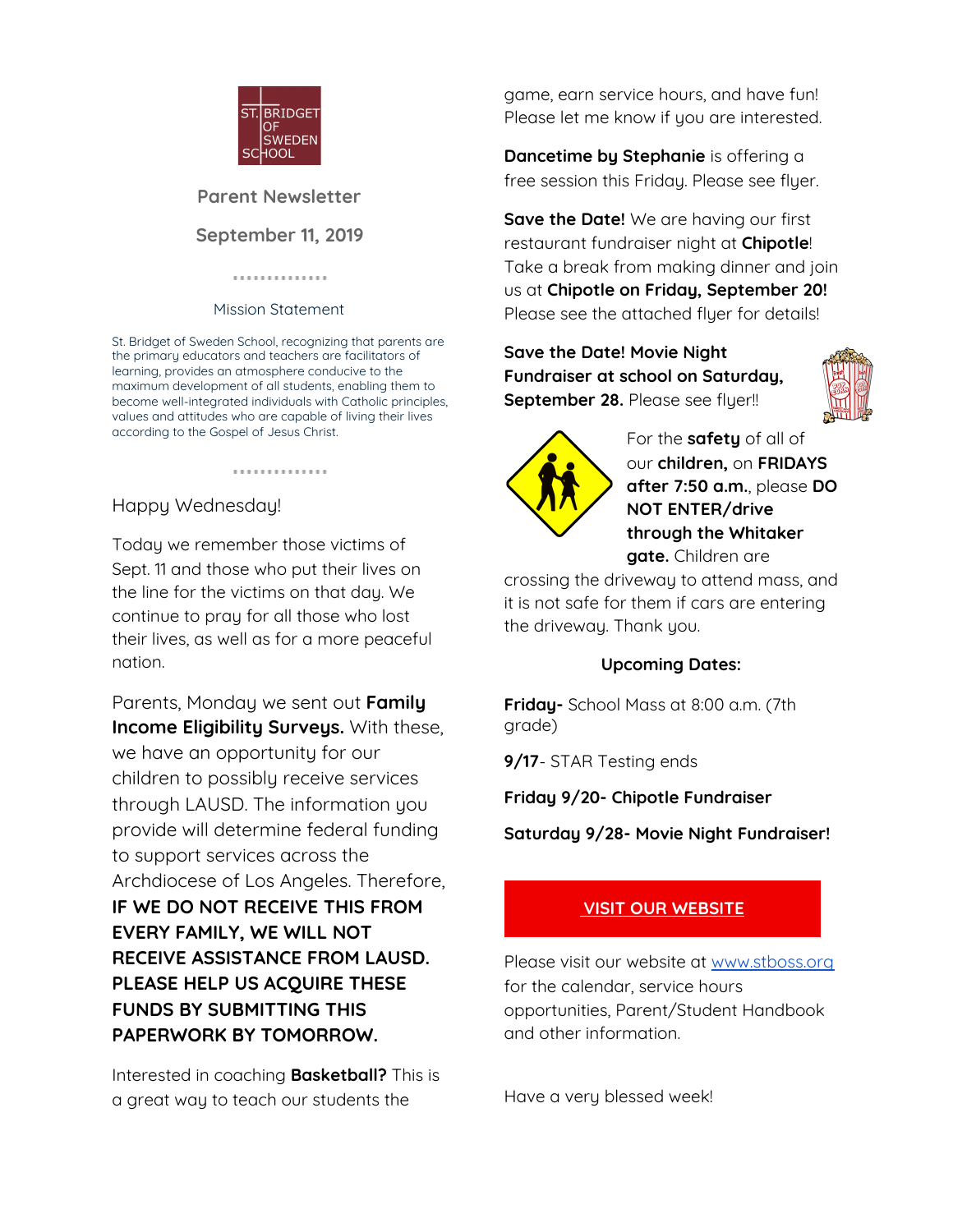

**Parent Newsletter September 11, 2019**

#### . . . . . . . . . . . . . .

#### Mission Statement

St. Bridget of Sweden School, recognizing that parents are the primary educators and teachers are facilitators of learning, provides an atmosphere conducive to the maximum development of all students, enabling them to become well-integrated individuals with Catholic principles, values and attitudes who are capable of living their lives according to the Gospel of Jesus Christ.

..............

# Happy Wednesday!

Today we remember those victims of Sept. 11 and those who put their lives on the line for the victims on that day. We continue to pray for all those who lost their lives, as well as for a more peaceful nation.

Parents, Monday we sent out **Family Income Eligibility Surveys.** With these, we have an opportunity for our children to possibly receive services through LAUSD. The information you provide will determine federal funding to support services across the Archdiocese of Los Angeles. Therefore, **IF WE DO NOT RECEIVE THIS FROM EVERY FAMILY, WE WILL NOT RECEIVE ASSISTANCE FROM LAUSD. PLEASE HELP US ACQUIRE THESE FUNDS BY SUBMITTING THIS PAPERWORK BY TOMORROW.**

Interested in coaching **Basketball?** This is a great way to teach our students the

game, earn service hours, and have fun! Please let me know if you are interested.

**Dancetime by Stephanie** is offering a free session this Friday. Please see flyer.

**Save the Date!** We are having our first restaurant fundraiser night at **Chipotle**! Take a break from making dinner and join us at **Chipotle on Friday, September 20!** Please see the attached flyer for details!

### **Save the Date! Movie Night Fundraiser at school on Saturday, September 28.** Please see flyer!!





For the **safety** of all of our **children,** on **FRIDAYS after 7:50 a.m.**, please **DO NOT ENTER/drive through the Whitaker gate.** Children are

crossing the driveway to attend mass, and it is not safe for them if cars are entering the driveway. Thank you.

#### **Upcoming Dates:**

**Friday-** School Mass at 8:00 a.m. (7th grade)

**9/17**- STAR Testing ends

**Friday 9/20- Chipotle Fundraiser**

**Saturday 9/28- Movie Night Fundraiser!**

## **VISIT OUR [WEBSITE](http://www.stboss.org/)**

Please visit our website at [www.stboss.org](http://www.stboss.org/) for the calendar, service hours opportunities, Parent/Student Handbook and other information.

Have a very blessed week!